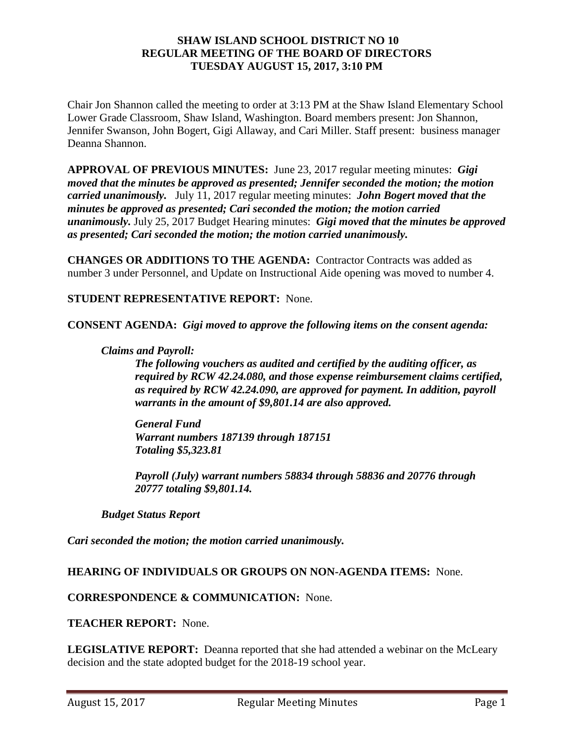#### **SHAW ISLAND SCHOOL DISTRICT NO 10 REGULAR MEETING OF THE BOARD OF DIRECTORS TUESDAY AUGUST 15, 2017, 3:10 PM**

Chair Jon Shannon called the meeting to order at 3:13 PM at the Shaw Island Elementary School Lower Grade Classroom, Shaw Island, Washington. Board members present: Jon Shannon, Jennifer Swanson, John Bogert, Gigi Allaway, and Cari Miller. Staff present: business manager Deanna Shannon.

**APPROVAL OF PREVIOUS MINUTES:** June 23, 2017 regular meeting minutes: *Gigi moved that the minutes be approved as presented; Jennifer seconded the motion; the motion carried unanimously.* July 11, 2017 regular meeting minutes: *John Bogert moved that the minutes be approved as presented; Cari seconded the motion; the motion carried unanimously.* July 25, 2017 Budget Hearing minutes: *Gigi moved that the minutes be approved as presented; Cari seconded the motion; the motion carried unanimously.* 

**CHANGES OR ADDITIONS TO THE AGENDA:** Contractor Contracts was added as number 3 under Personnel, and Update on Instructional Aide opening was moved to number 4.

### **STUDENT REPRESENTATIVE REPORT:** None.

**CONSENT AGENDA:** *Gigi moved to approve the following items on the consent agenda:*

#### *Claims and Payroll:*

*The following vouchers as audited and certified by the auditing officer, as required by RCW 42.24.080, and those expense reimbursement claims certified, as required by RCW 42.24.090, are approved for payment. In addition, payroll warrants in the amount of \$9,801.14 are also approved.*

*General Fund Warrant numbers 187139 through 187151 Totaling \$5,323.81*

*Payroll (July) warrant numbers 58834 through 58836 and 20776 through 20777 totaling \$9,801.14.*

*Budget Status Report*

*Cari seconded the motion; the motion carried unanimously.*

#### **HEARING OF INDIVIDUALS OR GROUPS ON NON-AGENDA ITEMS:** None.

#### **CORRESPONDENCE & COMMUNICATION:** None.

#### **TEACHER REPORT:** None.

**LEGISLATIVE REPORT:** Deanna reported that she had attended a webinar on the McLeary decision and the state adopted budget for the 2018-19 school year.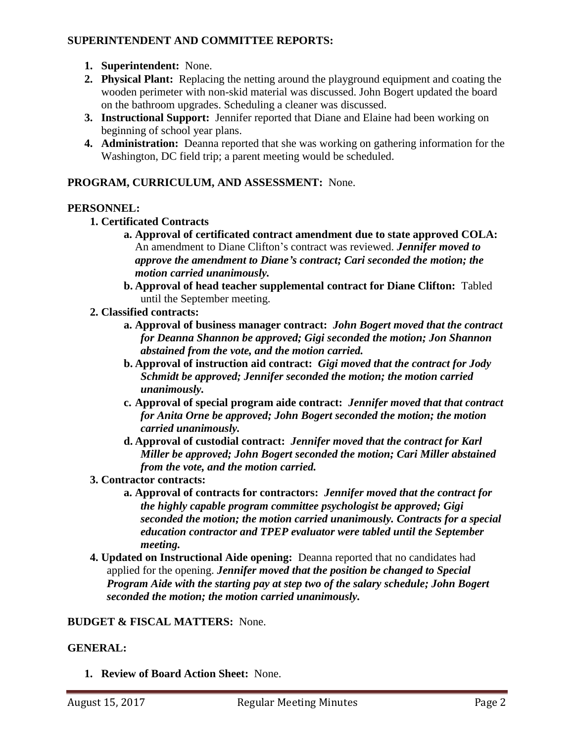### **SUPERINTENDENT AND COMMITTEE REPORTS:**

- **1. Superintendent:** None.
- **2. Physical Plant:** Replacing the netting around the playground equipment and coating the wooden perimeter with non-skid material was discussed. John Bogert updated the board on the bathroom upgrades. Scheduling a cleaner was discussed.
- **3. Instructional Support:** Jennifer reported that Diane and Elaine had been working on beginning of school year plans.
- **4. Administration:** Deanna reported that she was working on gathering information for the Washington, DC field trip; a parent meeting would be scheduled.

### **PROGRAM, CURRICULUM, AND ASSESSMENT:** None.

# **PERSONNEL:**

- **1. Certificated Contracts**
	- **a. Approval of certificated contract amendment due to state approved COLA:**  An amendment to Diane Clifton's contract was reviewed. *Jennifer moved to approve the amendment to Diane's contract; Cari seconded the motion; the motion carried unanimously.*
	- **b. Approval of head teacher supplemental contract for Diane Clifton:** Tabled until the September meeting.
- **2. Classified contracts:** 
	- **a. Approval of business manager contract:** *John Bogert moved that the contract for Deanna Shannon be approved; Gigi seconded the motion; Jon Shannon abstained from the vote, and the motion carried.*
	- **b. Approval of instruction aid contract:** *Gigi moved that the contract for Jody Schmidt be approved; Jennifer seconded the motion; the motion carried unanimously.*
	- **c. Approval of special program aide contract:** *Jennifer moved that that contract for Anita Orne be approved; John Bogert seconded the motion; the motion carried unanimously.*
	- **d. Approval of custodial contract:** *Jennifer moved that the contract for Karl Miller be approved; John Bogert seconded the motion; Cari Miller abstained from the vote, and the motion carried.*

# **3. Contractor contracts:**

- **a. Approval of contracts for contractors:** *Jennifer moved that the contract for the highly capable program committee psychologist be approved; Gigi seconded the motion; the motion carried unanimously. Contracts for a special education contractor and TPEP evaluator were tabled until the September meeting.*
- **4. Updated on Instructional Aide opening:** Deanna reported that no candidates had applied for the opening. *Jennifer moved that the position be changed to Special Program Aide with the starting pay at step two of the salary schedule; John Bogert seconded the motion; the motion carried unanimously.*

### **BUDGET & FISCAL MATTERS:** None.

# **GENERAL:**

**1. Review of Board Action Sheet:** None.